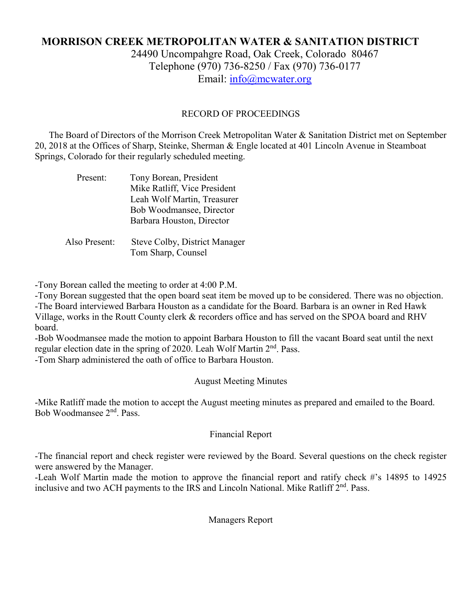# **MORRISON CREEK METROPOLITAN WATER & SANITATION DISTRICT** 24490 Uncompahgre Road, Oak Creek, Colorado 80467 Telephone (970) 736-8250 / Fax (970) 736-0177

Email: [info@mcwater.org](mailto:info@mcwater.org)

## RECORD OF PROCEEDINGS

 The Board of Directors of the Morrison Creek Metropolitan Water & Sanitation District met on September 20, 2018 at the Offices of Sharp, Steinke, Sherman & Engle located at 401 Lincoln Avenue in Steamboat Springs, Colorado for their regularly scheduled meeting.

| Present:      | Tony Borean, President               |
|---------------|--------------------------------------|
|               | Mike Ratliff, Vice President         |
|               | Leah Wolf Martin, Treasurer          |
|               | Bob Woodmansee, Director             |
|               | Barbara Houston, Director            |
|               |                                      |
| Also Present: | <b>Steve Colby, District Manager</b> |
|               | Tom Sharp, Counsel                   |

-Tony Borean called the meeting to order at 4:00 P.M.

-Tony Borean suggested that the open board seat item be moved up to be considered. There was no objection. -The Board interviewed Barbara Houston as a candidate for the Board. Barbara is an owner in Red Hawk Village, works in the Routt County clerk & recorders office and has served on the SPOA board and RHV board.

-Bob Woodmansee made the motion to appoint Barbara Houston to fill the vacant Board seat until the next regular election date in the spring of 2020. Leah Wolf Martin 2<sup>nd</sup>. Pass.

-Tom Sharp administered the oath of office to Barbara Houston.

August Meeting Minutes

-Mike Ratliff made the motion to accept the August meeting minutes as prepared and emailed to the Board. Bob Woodmansee 2nd. Pass.

### Financial Report

-The financial report and check register were reviewed by the Board. Several questions on the check register were answered by the Manager.

-Leah Wolf Martin made the motion to approve the financial report and ratify check #'s 14895 to 14925 inclusive and two ACH payments to the IRS and Lincoln National. Mike Ratliff 2<sup>nd</sup>. Pass.

Managers Report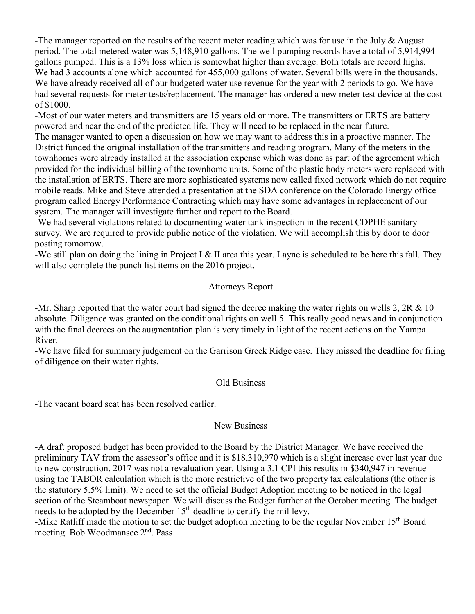-The manager reported on the results of the recent meter reading which was for use in the July & August period. The total metered water was 5,148,910 gallons. The well pumping records have a total of 5,914,994 gallons pumped. This is a 13% loss which is somewhat higher than average. Both totals are record highs. We had 3 accounts alone which accounted for 455,000 gallons of water. Several bills were in the thousands. We have already received all of our budgeted water use revenue for the year with 2 periods to go. We have had several requests for meter tests/replacement. The manager has ordered a new meter test device at the cost of \$1000.

-Most of our water meters and transmitters are 15 years old or more. The transmitters or ERTS are battery powered and near the end of the predicted life. They will need to be replaced in the near future. The manager wanted to open a discussion on how we may want to address this in a proactive manner. The District funded the original installation of the transmitters and reading program. Many of the meters in the

townhomes were already installed at the association expense which was done as part of the agreement which provided for the individual billing of the townhome units. Some of the plastic body meters were replaced with the installation of ERTS. There are more sophisticated systems now called fixed network which do not require mobile reads. Mike and Steve attended a presentation at the SDA conference on the Colorado Energy office program called Energy Performance Contracting which may have some advantages in replacement of our system. The manager will investigate further and report to the Board.

-We had several violations related to documenting water tank inspection in the recent CDPHE sanitary survey. We are required to provide public notice of the violation. We will accomplish this by door to door posting tomorrow.

-We still plan on doing the lining in Project I & II area this year. Layne is scheduled to be here this fall. They will also complete the punch list items on the 2016 project.

### Attorneys Report

-Mr. Sharp reported that the water court had signed the decree making the water rights on wells 2, 2R & 10 absolute. Diligence was granted on the conditional rights on well 5. This really good news and in conjunction with the final decrees on the augmentation plan is very timely in light of the recent actions on the Yampa River.

-We have filed for summary judgement on the Garrison Greek Ridge case. They missed the deadline for filing of diligence on their water rights.

### Old Business

-The vacant board seat has been resolved earlier.

#### New Business

-A draft proposed budget has been provided to the Board by the District Manager. We have received the preliminary TAV from the assessor's office and it is \$18,310,970 which is a slight increase over last year due to new construction. 2017 was not a revaluation year. Using a 3.1 CPI this results in \$340,947 in revenue using the TABOR calculation which is the more restrictive of the two property tax calculations (the other is the statutory 5.5% limit). We need to set the official Budget Adoption meeting to be noticed in the legal section of the Steamboat newspaper. We will discuss the Budget further at the October meeting. The budget needs to be adopted by the December 15<sup>th</sup> deadline to certify the mil levy.

-Mike Ratliff made the motion to set the budget adoption meeting to be the regular November 15<sup>th</sup> Board meeting. Bob Woodmansee 2<sup>nd</sup>. Pass